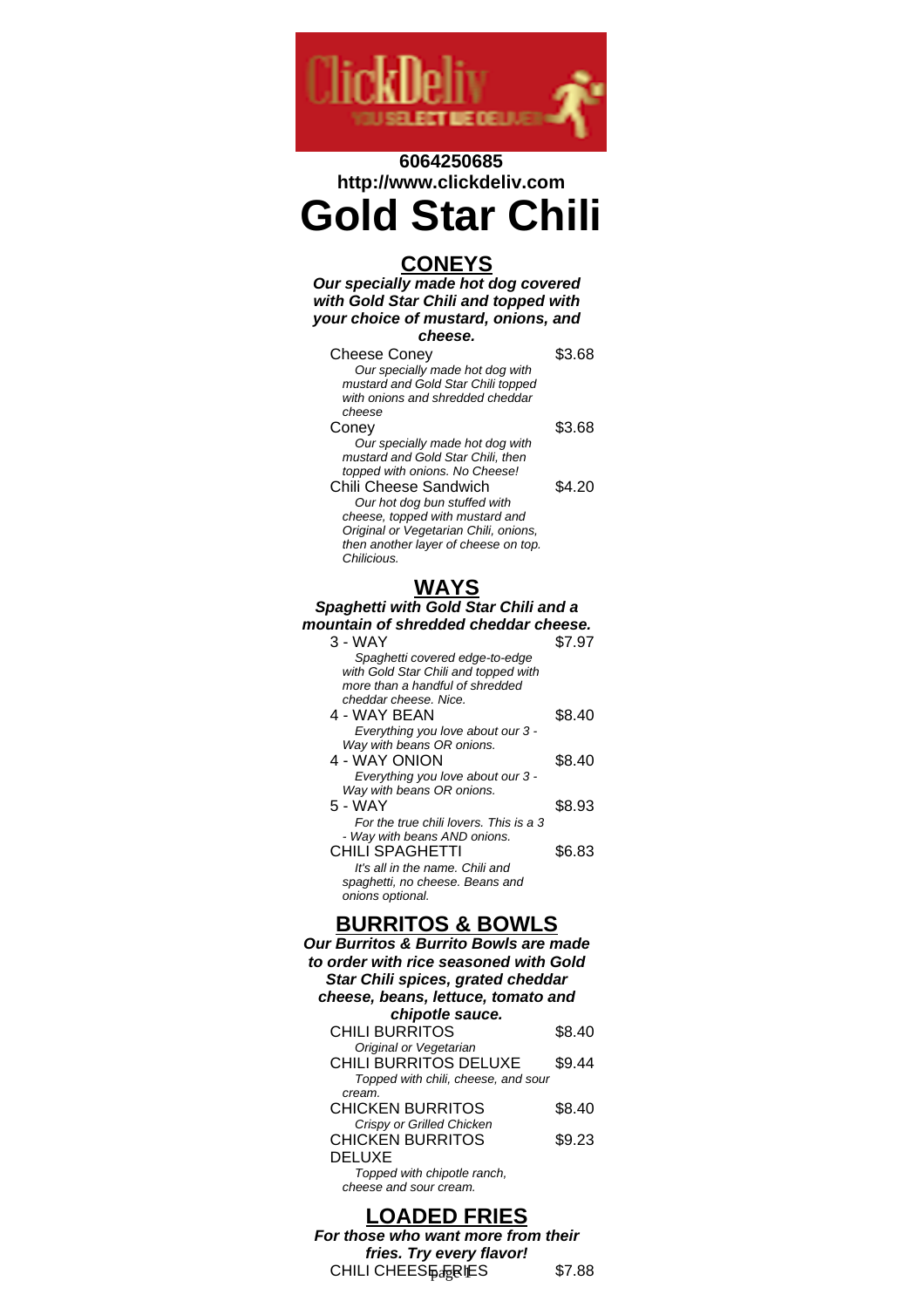

# **6064250685 http://www.clickdeliv.com Gold Star Chili**

## **CONEYS**

**Our specially made hot dog covered with Gold Star Chili and topped with your choice of mustard, onions, and cheese.**

| coesse.                                                                |        |
|------------------------------------------------------------------------|--------|
| Cheese Coney                                                           | \$3.68 |
| Our specially made hot dog with                                        |        |
| mustard and Gold Star Chili topped<br>with onions and shredded cheddar |        |
| cheese                                                                 |        |
| Coney                                                                  | \$3.68 |
| Our specially made hot dog with                                        |        |
| mustard and Gold Star Chili, then                                      |        |
| topped with onions. No Cheese!                                         |        |
| Chili Cheese Sandwich                                                  | \$4.20 |
| Our hot dog bun stuffed with                                           |        |
| cheese, topped with mustard and                                        |        |
| Original or Vegetarian Chili, onions,                                  |        |
| then another layer of cheese on top.                                   |        |
| Chilicious.                                                            |        |
|                                                                        |        |

## **WAYS**

**Spaghetti with Gold Star Chili and a mountain of shredded cheddar cheese.** 3 - WAY \$7.97 Spaghetti covered edge-to-edge with Gold Star Chili and topped with more than a handful of shredded cheddar cheese. Nice. 4 - WAY BEAN \$8.40 Everything you love about our 3 - Way with beans OR onions. 4 - WAY ONION \$8.40 Everything you love about our 3 - Way with beans OR onions. 5 - WAY \$8.93 For the true chili lovers. This is a 3 - Way with beans AND onions. CHILI SPAGHETTI \$6.83 It's all in the name. Chili and spaghetti, no cheese. Beans and onions optional.

## **BURRITOS & BOWLS**

| Our Burritos & Burrito Bowls are made<br>to order with rice seasoned with Gold<br>Star Chili spices, grated cheddar |        |  |
|---------------------------------------------------------------------------------------------------------------------|--------|--|
| cheese, beans, lettuce, tomato and                                                                                  |        |  |
| chipotle sauce.                                                                                                     |        |  |
| <b>CHILI BURRITOS</b>                                                                                               | \$8.40 |  |
| Original or Vegetarian                                                                                              |        |  |
| <b>CHILI BURRITOS DELUXE</b>                                                                                        | \$9.44 |  |
| Topped with chili, cheese, and sour<br>cream.                                                                       |        |  |
| <b>CHICKEN BURRITOS</b>                                                                                             | \$8.40 |  |
| Crispy or Grilled Chicken                                                                                           |        |  |
| <b>CHICKEN BURRITOS</b>                                                                                             | \$9.23 |  |
| <b>DELUXE</b>                                                                                                       |        |  |
| Topped with chipotle ranch,                                                                                         |        |  |
| cheese and sour cream.                                                                                              |        |  |

# **LOADED FRIES**

**For those who want more from their fries. Try every flavor!** CHILI CHEES $\frac{1}{2}$ <sub> $\frac{1}{2}$ </sub>  $\frac{1}{2}$   $\frac{1}{2}$   $\frac{1}{2}$   $\frac{1}{2}$   $\frac{1}{2}$   $\frac{1}{2}$   $\frac{1}{2}$   $\frac{1}{2}$   $\frac{1}{2}$   $\frac{1}{2}$   $\frac{1}{2}$   $\frac{1}{2}$   $\frac{1}{2}$   $\frac{1}{2}$   $\frac{1}{2}$   $\frac{1}{2}$   $\frac{1}{2}$   $\frac{1}{2}$   $\frac{1}{2}$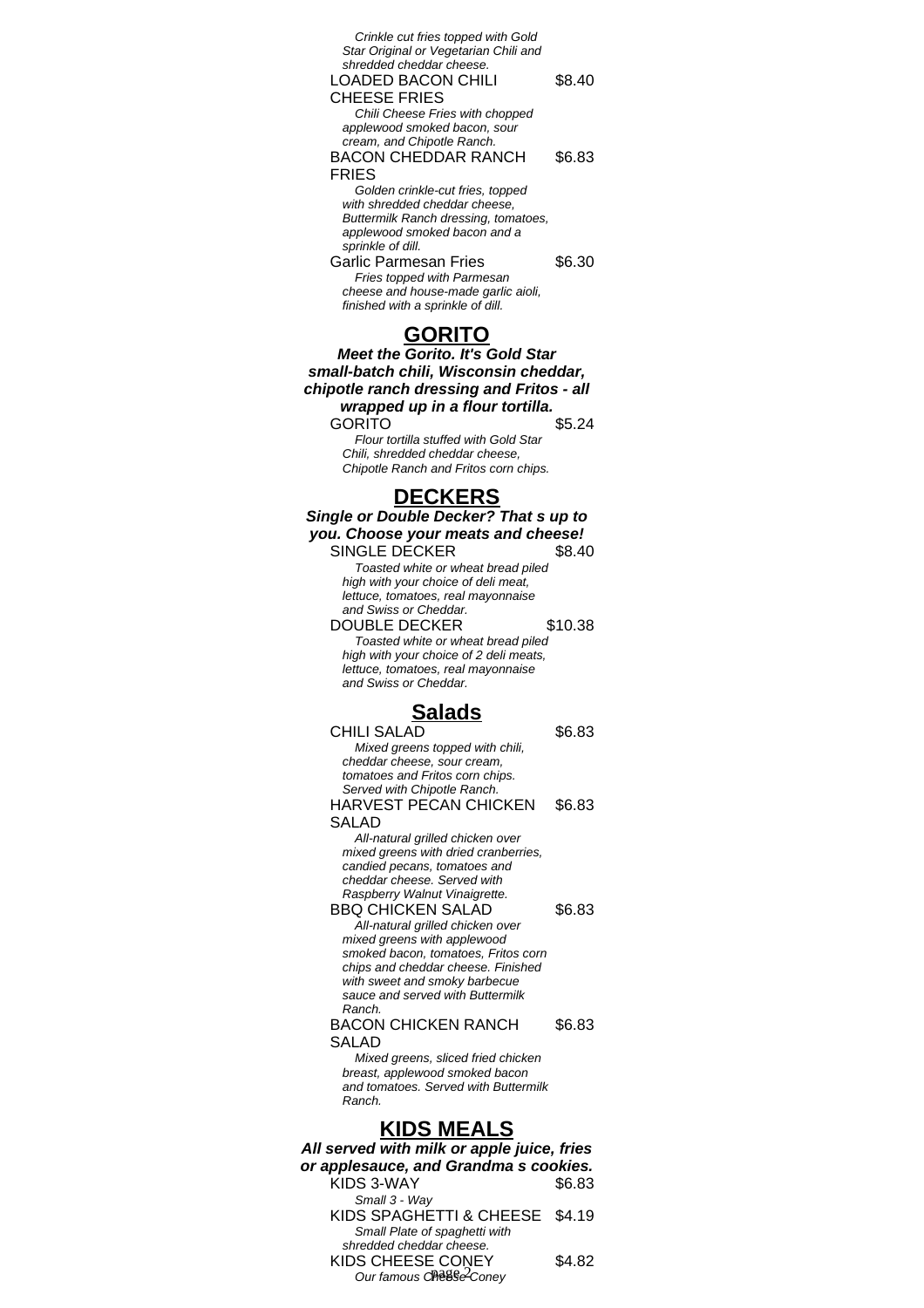| Crinkle cut fries topped with Gold<br>Star Original or Vegetarian Chili and<br>shredded cheddar cheese.<br>LOADED BACON CHILI | \$8.40 |
|-------------------------------------------------------------------------------------------------------------------------------|--------|
| <b>CHEESE FRIES</b>                                                                                                           |        |
| Chili Cheese Fries with chopped                                                                                               |        |
| applewood smoked bacon, sour<br>cream, and Chipotle Ranch.                                                                    |        |
| BACON CHEDDAR RANCH                                                                                                           | \$6.83 |
|                                                                                                                               |        |
| FRIES                                                                                                                         |        |
| Golden crinkle-cut fries, topped<br>with shredded cheddar cheese.                                                             |        |
| Buttermilk Ranch dressing, tomatoes,                                                                                          |        |
| applewood smoked bacon and a                                                                                                  |        |
| sprinkle of dill.                                                                                                             |        |
| Garlic Parmesan Fries                                                                                                         | \$6.30 |
| Fries topped with Parmesan                                                                                                    |        |
| cheese and house-made garlic aioli,                                                                                           |        |
| finished with a sprinkle of dill.                                                                                             |        |
|                                                                                                                               |        |

## **GORITO**

**Meet the Gorito. It's Gold Star small-batch chili, Wisconsin cheddar, chipotle ranch dressing and Fritos - all wrapped up in a flour tortilla.** GORITO \$5.24

Flour tortilla stuffed with Gold Star Chili, shredded cheddar cheese, Chipotle Ranch and Fritos corn chips.

# **DECKERS**

| ECKERS                                                                       |         |  |
|------------------------------------------------------------------------------|---------|--|
| Single or Double Decker? That s up to                                        |         |  |
| you. Choose your meats and cheese!                                           |         |  |
| <b>SINGLE DECKER</b>                                                         | \$8.40  |  |
| Toasted white or wheat bread piled                                           |         |  |
| high with your choice of deli meat,                                          |         |  |
| lettuce, tomatoes, real mayonnaise                                           |         |  |
| and Swiss or Cheddar.                                                        |         |  |
| <b>DOUBLE DECKER</b>                                                         | \$10.38 |  |
| Toasted white or wheat bread piled<br>high with your choice of 2 deli meats, |         |  |
| lettuce, tomatoes, real mayonnaise                                           |         |  |
| and Swiss or Cheddar.                                                        |         |  |
| <u>Salads</u>                                                                |         |  |
| <b>CHILI SALAD</b>                                                           | \$6.83  |  |
| Mixed greens topped with chili,                                              |         |  |
| cheddar cheese, sour cream,                                                  |         |  |
| tomatoes and Fritos corn chips.                                              |         |  |
| Served with Chipotle Ranch.                                                  |         |  |
| <b>HARVEST PECAN CHICKEN</b>                                                 | \$6.83  |  |
| SALAD                                                                        |         |  |
| All-natural grilled chicken over                                             |         |  |
| mixed greens with dried cranberries,                                         |         |  |
| candied pecans, tomatoes and<br>cheddar cheese. Served with                  |         |  |
| Raspberry Walnut Vinaigrette.                                                |         |  |
| <b>BBQ CHICKEN SALAD</b>                                                     | \$6.83  |  |
| All-natural grilled chicken over                                             |         |  |
| mixed greens with applewood                                                  |         |  |
| smoked bacon, tomatoes, Fritos corn                                          |         |  |
| chips and cheddar cheese. Finished                                           |         |  |
| with sweet and smoky barbecue                                                |         |  |
| sauce and served with Buttermilk<br>Ranch.                                   |         |  |
| <b>BACON CHICKEN RANCH</b>                                                   | \$6.83  |  |
| <b>SALAD</b>                                                                 |         |  |
| Mixed greens, sliced fried chicken                                           |         |  |
| breast, applewood smoked bacon                                               |         |  |
| and tomatoes. Served with Buttermilk                                         |         |  |
| Ranch.                                                                       |         |  |

## **KIDS MEALS**

| All served with milk or apple juice, fries |        |  |
|--------------------------------------------|--------|--|
| or applesauce, and Grandma s cookies.      |        |  |
| KIDS 3-WAY                                 | \$6.83 |  |
| Small 3 - Way                              |        |  |
| KIDS SPAGHETTI & CHEESE \$4.19             |        |  |
| Small Plate of spaghetti with              |        |  |
| shredded cheddar cheese.                   |        |  |
| KIDS CHEESE CONEY                          | \$4.82 |  |
| Our famous CPeSSe <sup>2</sup> Coney       |        |  |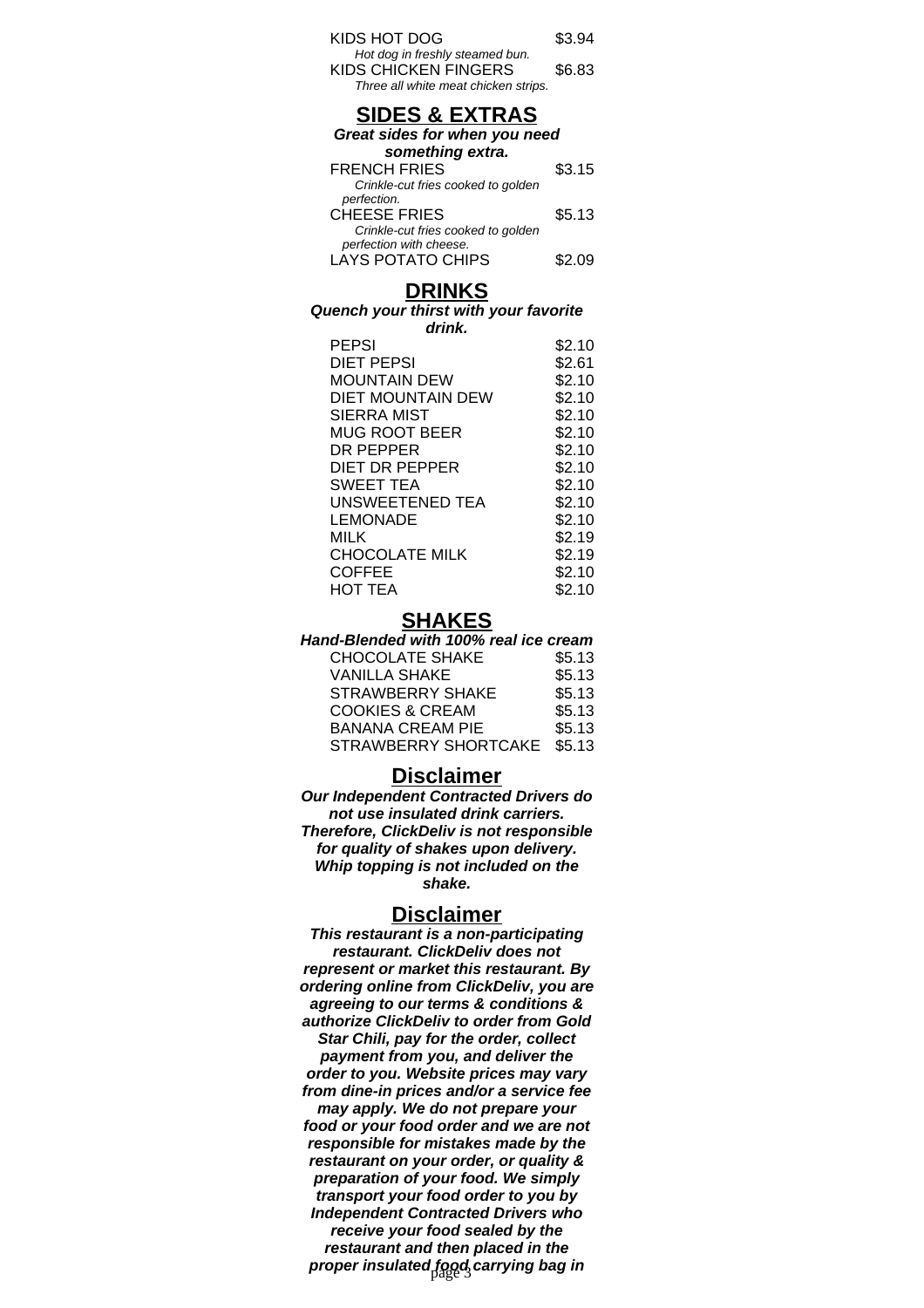| KIDS HOT DOG                                            | \$3.94 |
|---------------------------------------------------------|--------|
| Hot dog in freshly steamed bun.<br>KIDS CHICKEN FINGERS | \$6.83 |
| Three all white meat chicken strips.                    |        |

## **SIDES & EXTRAS**

| Great sides for when you need      |        |
|------------------------------------|--------|
| something extra.                   |        |
| <b>FRENCH FRIES</b>                | \$3.15 |
| Crinkle-cut fries cooked to golden |        |

| perfection.                        |        |
|------------------------------------|--------|
|                                    |        |
| <b>CHEESE FRIES</b>                | \$5.13 |
| Crinkle-cut fries cooked to golden |        |
| perfection with cheese.            |        |
| LAYS POTATO CHIPS                  | \$2.09 |

#### **DRINKS**

#### **Quench your thirst with your favorite**

| drink.                 |        |
|------------------------|--------|
| <b>PEPSI</b>           | \$2.10 |
| DIET PEPSI             | \$2.61 |
| <b>MOUNTAIN DEW</b>    | \$2.10 |
| DIET MOUNTAIN DEW      | \$2.10 |
| SIERRA MIST            | \$2.10 |
| MUG ROOT BEER          | \$2.10 |
| DR PEPPER              | \$2.10 |
| <b>DIET DR PEPPER</b>  | \$2.10 |
| <b>SWEET TEA</b>       | \$2.10 |
| <b>UNSWEETENED TEA</b> | \$2.10 |
| LEMONADE               | \$2.10 |
| MILK                   | \$2.19 |
| <b>CHOCOLATE MILK</b>  | \$2.19 |
| COFFEE                 | \$2.10 |
| HOT TEA                | \$2.10 |
|                        |        |

## **SHAKES**

| Hand-Blended with 100% real ice cream |        |
|---------------------------------------|--------|
| <b>CHOCOLATE SHAKE</b>                | \$5.13 |
| <b>VANILLA SHAKE</b>                  | \$5.13 |
| <b>STRAWBERRY SHAKE</b>               | \$5.13 |
| <b>COOKIES &amp; CREAM</b>            | \$5.13 |
| <b>BANANA CREAM PIE</b>               | \$5.13 |
| STRAWBERRY SHORTCAKE                  | \$5.13 |

#### **Disclaimer**

**Our Independent Contracted Drivers do not use insulated drink carriers. Therefore, ClickDeliv is not responsible for quality of shakes upon delivery. Whip topping is not included on the shake.**

#### **Disclaimer**

**This restaurant is a non-participating restaurant. ClickDeliv does not represent or market this restaurant. By ordering online from ClickDeliv, you are agreeing to our terms & conditions & authorize ClickDeliv to order from Gold Star Chili, pay for the order, collect payment from you, and deliver the order to you. Website prices may vary from dine-in prices and/or a service fee may apply. We do not prepare your food or your food order and we are not responsible for mistakes made by the restaurant on your order, or quality & preparation of your food. We simply transport your food order to you by Independent Contracted Drivers who receive your food sealed by the restaurant and then placed in the** proper insulated food carrying bag in